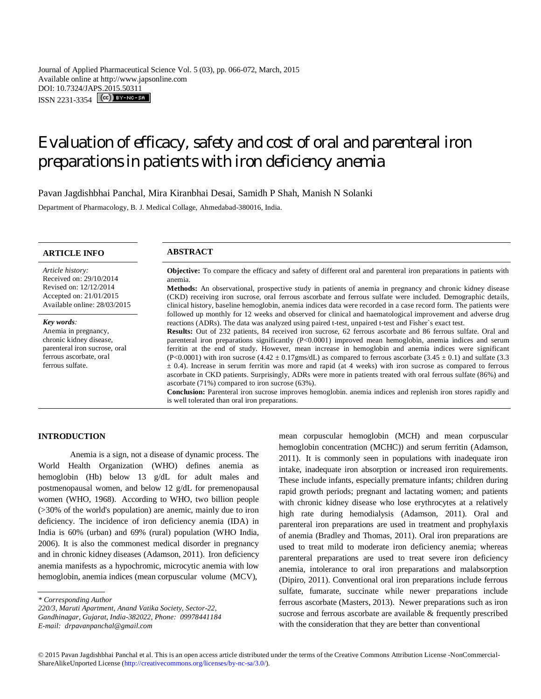Journal of Applied Pharmaceutical Science Vol. 5 (03), pp. 066-072, March, 2015 Available online at http://www.japsonline.com DOI: 10.7324/JAPS.2015.50311 ISSN 2231-3354 **(cc)** BY-NO-58

# Evaluation of efficacy, safety and cost of oral and parenteral iron preparations in patients with iron deficiency anemia

Pavan Jagdishbhai Panchal, Mira Kiranbhai Desai, Samidh P Shah, Manish N Solanki

Department of Pharmacology, B. J. Medical Collage, Ahmedabad-380016, India.

| <b>ARTICLE INFO</b>                                                                                                                           | <b>ABSTRACT</b>                                                                                                                                                                                                                                                                                                                                                                                                                                                                                                                                                                                                                                                                                                                                                                                                                                                                                                                                                                                                                                                                                                                                                        |
|-----------------------------------------------------------------------------------------------------------------------------------------------|------------------------------------------------------------------------------------------------------------------------------------------------------------------------------------------------------------------------------------------------------------------------------------------------------------------------------------------------------------------------------------------------------------------------------------------------------------------------------------------------------------------------------------------------------------------------------------------------------------------------------------------------------------------------------------------------------------------------------------------------------------------------------------------------------------------------------------------------------------------------------------------------------------------------------------------------------------------------------------------------------------------------------------------------------------------------------------------------------------------------------------------------------------------------|
| Article history:<br>Received on: 29/10/2014<br>Revised on: 12/12/2014<br>Accepted on: 21/01/2015<br>Available online: 28/03/2015              | <b>Objective:</b> To compare the efficacy and safety of different oral and parenteral iron preparations in patients with<br>anemia.<br><b>Methods:</b> An observational, prospective study in patients of anemia in pregnancy and chronic kidney disease<br>(CKD) receiving iron sucrose, oral ferrous ascorbate and ferrous sulfate were included. Demographic details,<br>clinical history, baseline hemoglobin, anemia indices data were recorded in a case record form. The patients were                                                                                                                                                                                                                                                                                                                                                                                                                                                                                                                                                                                                                                                                          |
| Key words:<br>Anemia in pregnancy,<br>chronic kidney disease,<br>parenteral iron sucrose, oral<br>ferrous ascorbate, oral<br>ferrous sulfate. | followed up monthly for 12 weeks and observed for clinical and haematological improvement and adverse drug<br>reactions (ADRs). The data was analyzed using paired t-test, unpaired t-test and Fisher's exact test.<br><b>Results:</b> Out of 232 patients, 84 received iron sucrose, 62 ferrous ascorbate and 86 ferrous sulfate. Oral and<br>parenteral iron preparations significantly $(P<0.0001)$ improved mean hemoglobin, anemia indices and serum<br>ferritin at the end of study. However, mean increase in hemoglobin and anemia indices were significant<br>$(P<0.0001)$ with iron sucrose $(4.42 \pm 0.17$ gms/dL) as compared to ferrous ascorbate $(3.45 \pm 0.1)$ and sulfate $(3.3$<br>$\pm$ 0.4). Increase in serum ferritin was more and rapid (at 4 weeks) with iron sucrose as compared to ferrous<br>ascorbate in CKD patients. Surprisingly, ADRs were more in patients treated with oral ferrous sulfate (86%) and<br>ascorbate $(71\%)$ compared to iron sucrose $(63\%)$ .<br>Conclusion: Parenteral iron sucrose improves hemoglobin. anemia indices and replenish iron stores rapidly and<br>is well tolerated than oral iron preparations. |

# **INTRODUCTION**

Anemia is a sign, not a disease of dynamic process. The World Health Organization (WHO) defines anemia as hemoglobin (Hb) below 13 g/dL for adult males and postmenopausal women, and below 12 g/dL for premenopausal women (WHO, 1968). According to WHO, two billion people (>30% of the world's population) are anemic, mainly due to iron deficiency. The incidence of iron deficiency anemia (IDA) in India is 60% (urban) and 69% (rural) population (WHO India, 2006). It is also the commonest medical disorder in pregnancy and in chronic kidney diseases (Adamson, 2011). Iron deficiency anemia manifests as a hypochromic, microcytic anemia with low hemoglobin, anemia indices (mean corpuscular volume (MCV),

*220/3, Maruti Apartment, Anand Vatika Society, Sector-22,* 

*Gandhinagar, Gujarat, India-382022, Phone: 09978441184*

*E-mail: drpavanpanchal@gmail.com*

mean corpuscular hemoglobin (MCH) and mean corpuscular hemoglobin concentration (MCHC)) and serum ferritin (Adamson, 2011). It is commonly seen in populations with inadequate iron intake, inadequate iron absorption or increased iron requirements. These include infants, especially premature infants; children during rapid growth periods; pregnant and lactating women; and patients with chronic kidney disease who lose erythrocytes at a relatively high rate during hemodialysis (Adamson, 2011). Oral and parenteral iron preparations are used in treatment and prophylaxis of anemia (Bradley and Thomas, 2011). Oral iron preparations are used to treat mild to moderate iron deficiency anemia; whereas parenteral preparations are used to treat severe iron deficiency anemia, intolerance to oral iron preparations and malabsorption (Dipiro, 2011). Conventional oral iron preparations include ferrous sulfate, fumarate, succinate while newer preparations include ferrous ascorbate (Masters, 2013). Newer preparations such as iron sucrose and ferrous ascorbate are available & frequently prescribed with the consideration that they are better than conventional

*<sup>\*</sup> Corresponding Author*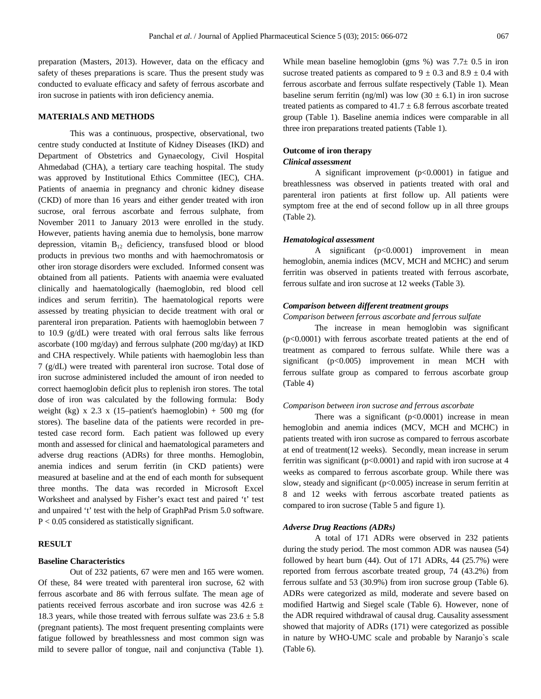preparation (Masters, 2013). However, data on the efficacy and safety of theses preparations is scare. Thus the present study was conducted to evaluate efficacy and safety of ferrous ascorbate and iron sucrose in patients with iron deficiency anemia.

# **MATERIALS AND METHODS**

This was a continuous, prospective, observational, two centre study conducted at Institute of Kidney Diseases (IKD) and Department of Obstetrics and Gynaecology, Civil Hospital Ahmedabad (CHA), a tertiary care teaching hospital. The study was approved by Institutional Ethics Committee (IEC), CHA. Patients of anaemia in pregnancy and chronic kidney disease (CKD) of more than 16 years and either gender treated with iron sucrose, oral ferrous ascorbate and ferrous sulphate, from November 2011 to January 2013 were enrolled in the study. However, patients having anemia due to hemolysis, bone marrow depression, vitamin  $B_{12}$  deficiency, transfused blood or blood products in previous two months and with haemochromatosis or other iron storage disorders were excluded. Informed consent was obtained from all patients. Patients with anaemia were evaluated clinically and haematologically (haemoglobin, red blood cell indices and serum ferritin). The haematological reports were assessed by treating physician to decide treatment with oral or parenteral iron preparation. Patients with haemoglobin between 7 to 10.9 (g/dL) were treated with oral ferrous salts like ferrous ascorbate (100 mg/day) and ferrous sulphate (200 mg/day) at IKD and CHA respectively. While patients with haemoglobin less than 7 (g/dL) were treated with parenteral iron sucrose. Total dose of iron sucrose administered included the amount of iron needed to correct haemoglobin deficit plus to replenish iron stores. The total dose of iron was calculated by the following formula: Body weight (kg) x 2.3 x (15–patient's haemoglobin) + 500 mg (for stores). The baseline data of the patients were recorded in pretested case record form. Each patient was followed up every month and assessed for clinical and haematological parameters and adverse drug reactions (ADRs) for three months. Hemoglobin, anemia indices and serum ferritin (in CKD patients) were measured at baseline and at the end of each month for subsequent three months. The data was recorded in Microsoft Excel Worksheet and analysed by Fisher's exact test and paired 't' test and unpaired 't' test with the help of GraphPad Prism 5.0 software. P < 0.05 considered as statistically significant.

# **RESULT**

#### **Baseline Characteristics**

Out of 232 patients, 67 were men and 165 were women. Of these, 84 were treated with parenteral iron sucrose, 62 with ferrous ascorbate and 86 with ferrous sulfate. The mean age of patients received ferrous ascorbate and iron sucrose was  $42.6 \pm$ 18.3 years, while those treated with ferrous sulfate was  $23.6 \pm 5.8$ (pregnant patients). The most frequent presenting complaints were fatigue followed by breathlessness and most common sign was mild to severe pallor of tongue, nail and conjunctiva (Table 1). While mean baseline hemoglobin (gms  $\%$ ) was 7.7 $\pm$  0.5 in iron sucrose treated patients as compared to  $9 \pm 0.3$  and  $8.9 \pm 0.4$  with ferrous ascorbate and ferrous sulfate respectively (Table 1). Mean baseline serum ferritin (ng/ml) was low  $(30 \pm 6.1)$  in iron sucrose treated patients as compared to  $41.7 \pm 6.8$  ferrous ascorbate treated group (Table 1). Baseline anemia indices were comparable in all three iron preparations treated patients (Table 1).

# **Outcome of iron therapy**

# *Clinical assessment*

A significant improvement  $(p<0.0001)$  in fatigue and breathlessness was observed in patients treated with oral and parenteral iron patients at first follow up. All patients were symptom free at the end of second follow up in all three groups (Table 2).

#### *Hematological assessment*

A significant (p<0.0001) improvement in mean hemoglobin, anemia indices (MCV, MCH and MCHC) and serum ferritin was observed in patients treated with ferrous ascorbate, ferrous sulfate and iron sucrose at 12 weeks (Table 3).

# *Comparison between different treatment groups*

*Comparison between ferrous ascorbate and ferrous sulfate*

The increase in mean hemoglobin was significant (p<0.0001) with ferrous ascorbate treated patients at the end of treatment as compared to ferrous sulfate. While there was a significant  $(p<0.005)$  improvement in mean MCH with ferrous sulfate group as compared to ferrous ascorbate group (Table 4)

### *Comparison between iron sucrose and ferrous ascorbate*

There was a significant  $(p<0.0001)$  increase in mean hemoglobin and anemia indices (MCV, MCH and MCHC) in patients treated with iron sucrose as compared to ferrous ascorbate at end of treatment(12 weeks). Secondly, mean increase in serum ferritin was significant (p<0.0001) and rapid with iron sucrose at 4 weeks as compared to ferrous ascorbate group. While there was slow, steady and significant (p<0.005) increase in serum ferritin at 8 and 12 weeks with ferrous ascorbate treated patients as compared to iron sucrose (Table 5 and figure 1).

# *Adverse Drug Reactions (ADRs)*

A total of 171 ADRs were observed in 232 patients during the study period. The most common ADR was nausea (54) followed by heart burn (44). Out of 171 ADRs, 44 (25.7%) were reported from ferrous ascorbate treated group, 74 (43.2%) from ferrous sulfate and 53 (30.9%) from iron sucrose group (Table 6). ADRs were categorized as mild, moderate and severe based on modified Hartwig and Siegel scale (Table 6). However, none of the ADR required withdrawal of causal drug. Causality assessment showed that majority of ADRs (171) were categorized as possible in nature by WHO-UMC scale and probable by Naranjo`s scale (Table 6).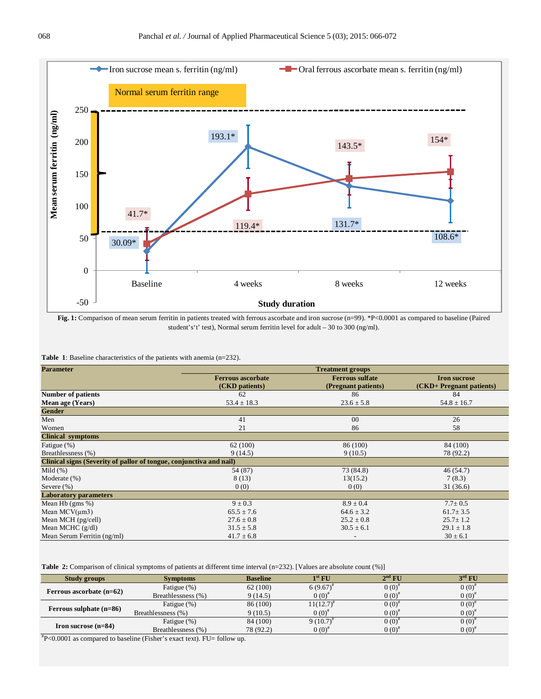

**Fig. 1:** Comparison of mean serum ferritin in patients treated with ferrous ascorbate and iron sucrose (n=99). \*P<0.0001 as compared to baseline (Paired student's't' test), Normal serum ferritin level for adult – 30 to 300 (ng/ml).

| <b>Table 1:</b> Baseline characteristics of the patients with anemia $(n=232)$ . |  |
|----------------------------------------------------------------------------------|--|
|----------------------------------------------------------------------------------|--|

| <b>Parameter</b>                                                    | <b>Treatment groups</b>  |                        |                          |  |  |  |  |
|---------------------------------------------------------------------|--------------------------|------------------------|--------------------------|--|--|--|--|
|                                                                     | <b>Ferrous ascorbate</b> | <b>Ferrous sulfate</b> | <b>Iron sucrose</b>      |  |  |  |  |
|                                                                     | (CKD patients)           | (Pregnant patients)    | (CKD+ Pregnant patients) |  |  |  |  |
| <b>Number of patients</b>                                           | 62                       | 86                     | 84                       |  |  |  |  |
| <b>Mean age (Years)</b>                                             | $53.4 \pm 18.3$          | $23.6 \pm 5.8$         | $54.8 \pm 16.7$          |  |  |  |  |
| <b>Gender</b>                                                       |                          |                        |                          |  |  |  |  |
| Men                                                                 | 41                       | 0 <sup>0</sup>         | 26                       |  |  |  |  |
| Women                                                               | 21                       | 86                     | 58                       |  |  |  |  |
| <b>Clinical symptoms</b>                                            |                          |                        |                          |  |  |  |  |
| Fatigue (%)                                                         | 62(100)                  | 86 (100)               | 84 (100)                 |  |  |  |  |
| Breathlessness (%)                                                  | 9(14.5)                  | 9(10.5)                | 78 (92.2)                |  |  |  |  |
| Clinical signs (Severity of pallor of tongue, conjunctiva and nail) |                          |                        |                          |  |  |  |  |
| Mild $(\% )$                                                        | 54 (87)                  | 73 (84.8)              | 46 (54.7)                |  |  |  |  |
| Moderate $(\%)$                                                     | 8(13)                    | 13(15.2)               | 7(8.3)                   |  |  |  |  |
| Severe $(\%)$                                                       | 0(0)                     | 0(0)                   | 31(36.6)                 |  |  |  |  |
| <b>Laboratory parameters</b>                                        |                          |                        |                          |  |  |  |  |
| Mean Hb $(gms \%)$                                                  | $9 \pm 0.3$              | $8.9 \pm 0.4$          | $7.7 \pm 0.5$            |  |  |  |  |
| Mean $MCV(\mu m3)$                                                  | $65.5 \pm 7.6$           | $64.6 \pm 3.2$         | $61.7 \pm 3.5$           |  |  |  |  |
| Mean MCH (pg/cell)                                                  | $27.6 \pm 0.8$           | $25.2 \pm 0.8$         | $25.7 \pm 1.2$           |  |  |  |  |
| Mean MCHC $(g/dl)$                                                  | $31.5 \pm 5.8$           | $30.5 \pm 6.1$         | $29.1 \pm 1.8$           |  |  |  |  |
| Mean Serum Ferritin (ng/ml)                                         | $41.7 \pm 6.8$           |                        | $30 \pm 6.1$             |  |  |  |  |

**Table 2:** Comparison of clinical symptoms of patients at different time interval (n=232). [Values are absolute count (%)]

| Study groups                 | <b>Symptoms</b>    | <b>Baseline</b> | $1^{\rm st}$ FU | $2^{nd}$ FU | $3^{\text{rd}}$ FU |
|------------------------------|--------------------|-----------------|-----------------|-------------|--------------------|
| Ferrous ascorbate $(n=62)$   | Fatigue (%)        | 62(100)         | $6(9.67)^{*}$   | $0(0)^{1}$  | 0(0)               |
|                              | Breathlessness (%) | 9(14.5)         | $0(0)^{t}$      | $0(0)^{1}$  | $0(0)^{t}$         |
|                              | Fatigue (%)        | 86 (100)        | $11(12.7)^*$    | $0(0)^{1}$  | 0(0)               |
| Ferrous sulphate $(n=86)$    | Breathlessness (%) | 9(10.5)         | $0(0)^{3}$      | $0(0)^{4}$  | $0(0)^{t}$         |
| <b>Iron sucrose</b> $(n=84)$ | Fatigue (%)        | 84 (100)        | $9(10.7)^{*}$   | $0(0)^{1}$  | $0(0)^*$           |
|                              | Breathlessness (%) | 78 (92.2)       | $0(0)^{*}$      | $0(0)^{t}$  | $0(0)^{*}$         |

# P<0.0001 as compared to baseline (Fisher's exact text). FU= follow up.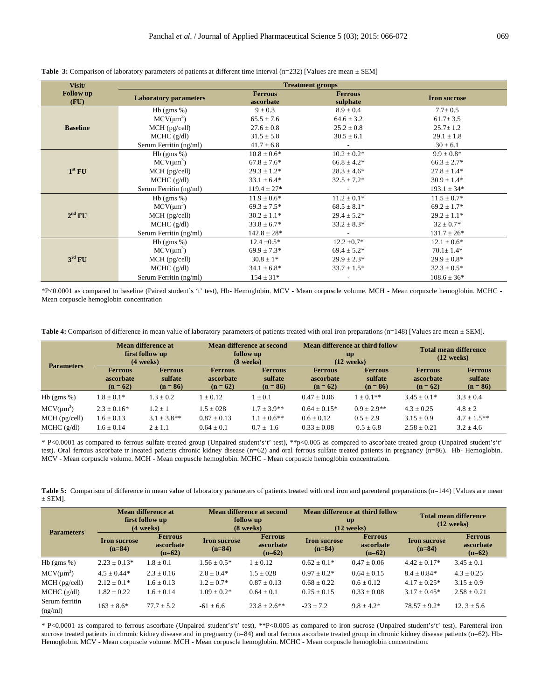| Visit/             | <b>Treatment groups</b>      |                  |                  |                     |  |  |  |
|--------------------|------------------------------|------------------|------------------|---------------------|--|--|--|
| <b>Follow up</b>   | <b>Laboratory parameters</b> | <b>Ferrous</b>   | <b>Ferrous</b>   | <b>Iron sucrose</b> |  |  |  |
| (FU)               |                              | ascorbate        | sulphate         |                     |  |  |  |
|                    | $Hb$ (gms %)                 | $9 \pm 0.3$      | $8.9 \pm 0.4$    | $7.7 \pm 0.5$       |  |  |  |
|                    | $MCV(\mu m^3)$               | $65.5 \pm 7.6$   | $64.6 \pm 3.2$   | $61.7 \pm 3.5$      |  |  |  |
| <b>Baseline</b>    | $MCH$ (pg/cell)              | $27.6 \pm 0.8$   | $25.2 \pm 0.8$   | $25.7 \pm 1.2$      |  |  |  |
|                    | $MCHC$ (g/dl)                | $31.5 \pm 5.8$   | $30.5 \pm 6.1$   | $29.1 \pm 1.8$      |  |  |  |
|                    | Serum Ferritin (ng/ml)       | $41.7 \pm 6.8$   |                  | $30 \pm 6.1$        |  |  |  |
|                    | $Hb$ (gms %)                 | $10.8 \pm 0.6*$  | $10.2 \pm 0.2*$  | $9.9 \pm 0.8*$      |  |  |  |
|                    | $MCV(\mu m^3)$               | $67.8 \pm 7.6*$  | $66.8 \pm 4.2*$  | $66.3 \pm 2.7*$     |  |  |  |
| 1 <sup>st</sup> FU | $MCH$ (pg/cell)              | $29.3 \pm 1.2*$  | $28.3 \pm 4.6^*$ | $27.8 \pm 1.4*$     |  |  |  |
|                    | $MCHC$ (g/dl)                | $33.1 \pm 6.4*$  | $32.5 \pm 7.2*$  | $30.9 \pm 1.4*$     |  |  |  |
|                    | Serum Ferritin (ng/ml)       | $119.4 \pm 27*$  |                  | $193.1 \pm 34*$     |  |  |  |
|                    | $Hb$ (gms %)                 | $11.9 \pm 0.6*$  | $11.2 \pm 0.1*$  | $11.5 \pm 0.7*$     |  |  |  |
|                    | $MCV(\mu m^3)$               | $69.3 \pm 7.5*$  | $68.5 \pm 8.1*$  | $69.2 \pm 1.7*$     |  |  |  |
| 2 <sup>nd</sup> FU | $MCH$ (pg/cell)              | $30.2 \pm 1.1*$  | $29.4 \pm 5.2*$  | $29.2 \pm 1.1*$     |  |  |  |
|                    | $MCHC$ (g/dl)                | $33.8 \pm 6.7*$  | $33.2 \pm 8.3*$  | $32 \pm 0.7*$       |  |  |  |
|                    | Serum Ferritin (ng/ml)       | $142.8 \pm 28*$  |                  | $131.7 \pm 26*$     |  |  |  |
|                    | $Hb$ (gms %)                 | $12.4 \pm 0.5*$  | $12.2 \pm 0.7*$  | $12.1 \pm 0.6*$     |  |  |  |
|                    | $MCV(\mu m^3)$               | $69.9 \pm 7.3*$  | $69.4 \pm 5.2*$  | $70.1 \pm 1.4*$     |  |  |  |
| 3 <sup>rd</sup> FU | $MCH$ (pg/cell)              | $30.8 \pm 1*$    | $29.9 \pm 2.3*$  | $29.9 \pm 0.8*$     |  |  |  |
|                    | $MCHC$ (g/dl)                | $34.1 \pm 6.8^*$ | $33.7 \pm 1.5*$  | $32.3 \pm 0.5*$     |  |  |  |
|                    | Serum Ferritin (ng/ml)       | $154 \pm 31*$    |                  | $108.6 \pm 36*$     |  |  |  |

**Table 3:** Comparison of laboratory parameters of patients at different time interval  $(n=232)$  [Values are mean  $\pm$  SEM]

\*P<0.0001 as compared to baseline (Paired student`s 't' test), Hb- Hemoglobin. MCV - Mean corpuscle volume. MCH - Mean corpuscle hemoglobin. MCHC - Mean corpuscle hemoglobin concentration

**Table 4:** Comparison of difference in mean value of laboratory parameters of patients treated with oral iron preparations (n=148) [Values are mean ± SEM].

| <b>Parameters</b>                 | <b>Mean difference at</b><br>first follow up<br>$(4 \text{ weeks})$ |                                         | <b>Mean difference at second</b><br>follow up<br>$(8$ weeks) |                                         | Mean difference at third follow<br><b>up</b><br>$(12$ weeks) |                                         | <b>Total mean difference</b><br>$(12$ weeks) |                                         |
|-----------------------------------|---------------------------------------------------------------------|-----------------------------------------|--------------------------------------------------------------|-----------------------------------------|--------------------------------------------------------------|-----------------------------------------|----------------------------------------------|-----------------------------------------|
|                                   | <b>Ferrous</b><br>ascorbate<br>$(n = 62)$                           | <b>Ferrous</b><br>sulfate<br>$(n = 86)$ | <b>Ferrous</b><br>ascorbate<br>$(n = 62)$                    | <b>Ferrous</b><br>sulfate<br>$(n = 86)$ | <b>Ferrous</b><br>ascorbate<br>$(n = 62)$                    | <b>Ferrous</b><br>sulfate<br>$(n = 86)$ | <b>Ferrous</b><br>ascorbate<br>$(n = 62)$    | <b>Ferrous</b><br>sulfate<br>$(n = 86)$ |
| $Hb$ (gms %)                      | $1.8 \pm 0.1*$                                                      | $1.3 \pm 0.2$                           | $1 \pm 0.12$                                                 | $1 \pm 0.1$                             | $0.47 \pm 0.06$                                              | $1 \pm 0.1**$                           | $3.45 + 0.1*$                                | $3.3 \pm 0.4$                           |
| $MCV(\mu m^3)$<br>$MCH$ (pg/cell) | $2.3 \pm 0.16*$<br>$1.6 \pm 0.13$                                   | $1.2 + 1$<br>$3.1 \pm 3.8$ **           | $1.5 \pm 0.28$<br>$0.87 \pm 0.13$                            | $1.7 + 3.9**$<br>$1.1 + 0.6$ **         | $0.64 \pm 0.15*$<br>$0.6 \pm 0.12$                           | $0.9 + 2.9$ **<br>$0.5 \pm 2.9$         | $4.3 \pm 0.25$<br>$3.15 \pm 0.9$             | $4.8 \pm 2$<br>$4.7 \pm 1.5***$         |
| $MCHC$ (g/dl)                     | $1.6 \pm 0.14$                                                      | $2 \pm 1.1$                             | $0.64 \pm 0.1$                                               | $0.7 + 1.6$                             | $0.33 \pm 0.08$                                              | $0.5 \pm 6.8$                           | $2.58 + 0.21$                                | $3.2 + 4.6$                             |

\* P<0.0001 as compared to ferrous sulfate treated group (Unpaired student's't' test), \*\*p<0.005 as compared to ascorbate treated group (Unpaired student's't' test). Oral ferrous ascorbate tr ineated patients chronic kidney disease (n=62) and oral ferrous sulfate treated patients in pregnancy (n=86). Hb- Hemoglobin. MCV - Mean corpuscle volume. MCH - Mean corpuscle hemoglobin. MCHC - Mean corpuscle hemoglobin concentration.

|             | Table 5: Comparison of difference in mean value of laboratory parameters of patients treated with oral iron and parenteral preparations (n=144) [Values are mean |  |
|-------------|------------------------------------------------------------------------------------------------------------------------------------------------------------------|--|
| $\pm$ SEM]. |                                                                                                                                                                  |  |

| <b>Parameters</b>         | Mean difference at<br>first follow up<br>$(4 \text{ weeks})$ |                                         | Mean difference at second<br>follow up<br>$(8 \text{ weeks})$ |                                         | <b>Mean difference at third follow</b><br><b>up</b><br>$(12$ weeks) |                                         | <b>Total mean difference</b><br>$(12 \text{ weeks})$ |                                         |
|---------------------------|--------------------------------------------------------------|-----------------------------------------|---------------------------------------------------------------|-----------------------------------------|---------------------------------------------------------------------|-----------------------------------------|------------------------------------------------------|-----------------------------------------|
|                           | <b>Iron sucrose</b><br>$(n=84)$                              | <b>Ferrous</b><br>ascorbate<br>$(n=62)$ | <b>Iron sucrose</b><br>$(n=84)$                               | <b>Ferrous</b><br>ascorbate<br>$(n=62)$ | <b>Iron sucrose</b><br>$(n=84)$                                     | <b>Ferrous</b><br>ascorbate<br>$(n=62)$ | <b>Iron sucrose</b><br>$(n=84)$                      | <b>Ferrous</b><br>ascorbate<br>$(n=62)$ |
| $Hb$ (gms %)              | $2.23 \pm 0.13*$                                             | $1.8 + 0.1$                             | $1.56 \pm 0.5*$                                               | $1 \pm 0.12$                            | $0.62 \pm 0.1*$                                                     | $0.47 + 0.06$                           | $4.42 + 0.17*$                                       | $3.45 \pm 0.1$                          |
| $MCV(\mu m^3)$            | $4.5 \pm 0.44*$                                              | $2.3 \pm 0.16$                          | $2.8 \pm 0.4*$                                                | $1.5 \pm 0.28$                          | $0.97 \pm 0.2$ *                                                    | $0.64 + 0.15$                           | $8.4 \pm 0.84*$                                      | $4.3 \pm 0.25$                          |
| $MCH$ (pg/cell)           | $2.12 \pm 0.1*$                                              | $1.6 \pm 0.13$                          | $1.2 + 0.7*$                                                  | $0.87 \pm 0.13$                         | $0.68 \pm 0.22$                                                     | $0.6 \pm 0.12$                          | $4.17 \pm 0.25^*$                                    | $3.15 \pm 0.9$                          |
| $MCHC$ (g/dl)             | $1.82 \pm 0.22$                                              | $1.6 \pm 0.14$                          | $1.09 \pm 0.2*$                                               | $0.64 + 0.1$                            | $0.25 \pm 0.15$                                                     | $0.33 \pm 0.08$                         | $3.17 + 0.45*$                                       | $2.58 \pm 0.21$                         |
| Serum ferritin<br>(ng/ml) | $163 \pm 8.6^*$                                              | $77.7 \pm 5.2$                          | $-61 \pm 6.6$                                                 | $23.8 + 2.6**$                          | $-23 + 7.2$                                                         | $9.8 \pm 4.2^*$                         | $78.57 + 9.2*$                                       | 12. $3 \pm 5.6$                         |

\* P<0.0001 as compared to ferrous ascorbate (Unpaired student's't' test), \*\*P<0.005 as compared to iron sucrose (Unpaired student's't' test). Parenteral iron sucrose treated patients in chronic kidney disease and in pregnancy (n=84) and oral ferrous ascorbate treated group in chronic kidney disease patients (n=62). Hb-Hemoglobin. MCV - Mean corpuscle volume. MCH - Mean corpuscle hemoglobin. MCHC - Mean corpuscle hemoglobin concentration.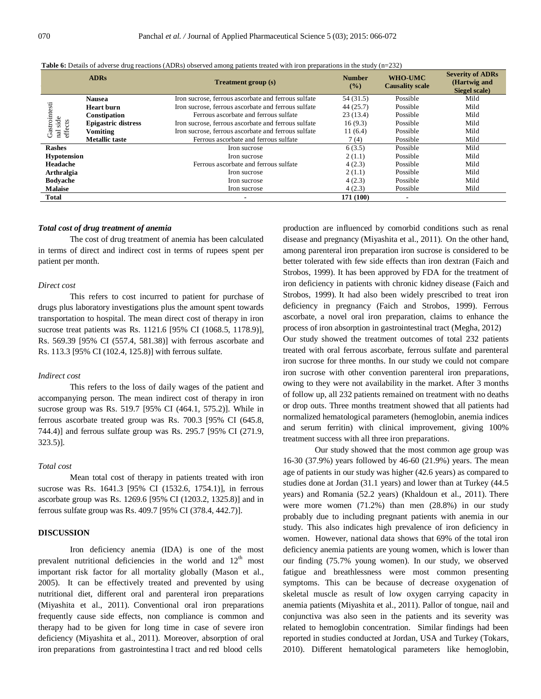| <b>ADRs</b>                 |                            | <b>Treatment group (s)</b>                          | <b>Number</b><br>(%) | WHO-UMC<br><b>Causality scale</b> | <b>Severity of ADRs</b><br>(Hartwig and<br>Siegel scale) |
|-----------------------------|----------------------------|-----------------------------------------------------|----------------------|-----------------------------------|----------------------------------------------------------|
|                             | <b>Nausea</b>              | Iron sucrose, ferrous ascorbate and ferrous sulfate | 54 (31.5)            | Possible                          | Mild                                                     |
| Gastrointesti               | <b>Heart burn</b>          | Iron sucrose, ferrous ascorbate and ferrous sulfate | 44(25.7)             | Possible                          | Mild                                                     |
|                             | Constipation               | Ferrous ascorbate and ferrous sulfate               | 23(13.4)             | Possible                          | Mild                                                     |
| side<br>nal side<br>effects | <b>Epigastric distress</b> | Iron sucrose, ferrous ascorbate and ferrous sulfate | 16(9.3)              | Possible                          | Mild                                                     |
|                             | <b>Vomiting</b>            | Iron sucrose, ferrous ascorbate and ferrous sulfate | 11(6.4)              | Possible                          | Mild                                                     |
|                             | <b>Metallic taste</b>      | Ferrous ascorbate and ferrous sulfate               | 7(4)                 | Possible                          | Mild                                                     |
| <b>Rashes</b>               |                            | Iron sucrose                                        | 6(3.5)               | Possible                          | Mild                                                     |
| <b>Hypotension</b>          |                            | Iron sucrose                                        | 2(1.1)               | Possible                          | Mild                                                     |
| Headache                    |                            | Ferrous ascorbate and ferrous sulfate               | 4(2.3)               | Possible                          | Mild                                                     |
| Arthralgia                  |                            | Iron sucrose                                        | 2(1.1)               | Possible                          | Mild                                                     |
| <b>Bodvache</b>             |                            | Iron sucrose                                        | 4(2.3)               | Possible                          | Mild                                                     |
| <b>Malaise</b>              |                            | Iron sucrose                                        | 4(2.3)               | Possible                          | Mild                                                     |
| <b>Total</b>                |                            |                                                     | 171 (100)            |                                   |                                                          |

**Table 6:** Details of adverse drug reactions (ADRs) observed among patients treated with iron preparations in the study (n=232)

## *Total cost of drug treatment of anemia*

The cost of drug treatment of anemia has been calculated in terms of direct and indirect cost in terms of rupees spent per patient per month.

#### *Direct cost*

This refers to cost incurred to patient for purchase of drugs plus laboratory investigations plus the amount spent towards transportation to hospital. The mean direct cost of therapy in iron sucrose treat patients was Rs. 1121.6 [95% CI (1068.5, 1178.9)], Rs. 569.39 [95% CI (557.4, 581.38)] with ferrous ascorbate and Rs. 113.3 [95% CI (102.4, 125.8)] with ferrous sulfate.

## *Indirect cost*

This refers to the loss of daily wages of the patient and accompanying person. The mean indirect cost of therapy in iron sucrose group was Rs. 519.7 [95% CI (464.1, 575.2)]. While in ferrous ascorbate treated group was Rs. 700.3 [95% CI (645.8, 744.4)] and ferrous sulfate group was Rs. 295.7 [95% CI (271.9, 323.5)].

#### *Total cost*

Mean total cost of therapy in patients treated with iron sucrose was Rs. 1641.3 [95% CI (1532.6, 1754.1)], in ferrous ascorbate group was Rs. 1269.6 [95% CI (1203.2, 1325.8)] and in ferrous sulfate group was Rs. 409.7 [95% CI (378.4, 442.7)].

## **DISCUSSION**

Iron deficiency anemia (IDA) is one of the most prevalent nutritional deficiencies in the world and  $12<sup>th</sup>$  most important risk factor for all mortality globally (Mason et al., 2005). It can be effectively treated and prevented by using nutritional diet, different oral and parenteral iron preparations (Miyashita et al., 2011). Conventional oral iron preparations frequently cause side effects, non compliance is common and therapy had to be given for long time in case of severe iron deficiency (Miyashita et al., 2011). Moreover, absorption of oral iron preparations from gastrointestina l tract and red blood cells

production are influenced by comorbid conditions such as renal disease and pregnancy (Miyashita et al., 2011). On the other hand, among parenteral iron preparation iron sucrose is considered to be better tolerated with few side effects than iron dextran (Faich and Strobos, 1999). It has been approved by FDA for the treatment of iron deficiency in patients with chronic kidney disease (Faich and Strobos, 1999). It had also been widely prescribed to treat iron deficiency in pregnancy (Faich and Strobos, 1999). Ferrous ascorbate, a novel oral iron preparation, claims to enhance the process of iron absorption in gastrointestinal tract (Megha, 2012) Our study showed the treatment outcomes of total 232 patients treated with oral ferrous ascorbate, ferrous sulfate and parenteral iron sucrose for three months. In our study we could not compare iron sucrose with other convention parenteral iron preparations, owing to they were not availability in the market. After 3 months of follow up, all 232 patients remained on treatment with no deaths or drop outs. Three months treatment showed that all patients had normalized hematological parameters (hemoglobin, anemia indices and serum ferritin) with clinical improvement, giving 100% treatment success with all three iron preparations.

Our study showed that the most common age group was 16-30 (37.9%) years followed by 46-60 (21.9%) years. The mean age of patients in our study was higher (42.6 years) as compared to studies done at Jordan (31.1 years) and lower than at Turkey (44.5 years) and Romania (52.2 years) (Khaldoun et al., 2011). There were more women (71.2%) than men (28.8%) in our study probably due to including pregnant patients with anemia in our study. This also indicates high prevalence of iron deficiency in women. However, national data shows that 69% of the total iron deficiency anemia patients are young women, which is lower than our finding (75.7% young women). In our study, we observed fatigue and breathlessness were most common presenting symptoms. This can be because of decrease oxygenation of skeletal muscle as result of low oxygen carrying capacity in anemia patients (Miyashita et al., 2011). Pallor of tongue, nail and conjunctiva was also seen in the patients and its severity was related to hemoglobin concentration. Similar findings had been reported in studies conducted at Jordan, USA and Turkey (Tokars, 2010). Different hematological parameters like hemoglobin,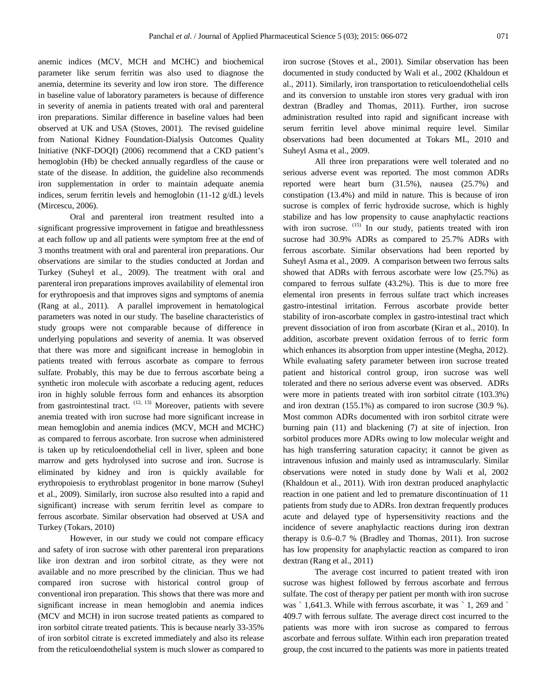anemic indices (MCV, MCH and MCHC) and biochemical parameter like serum ferritin was also used to diagnose the anemia, determine its severity and low iron store. The difference in baseline value of laboratory parameters is because of difference in severity of anemia in patients treated with oral and parenteral iron preparations. Similar difference in baseline values had been observed at UK and USA (Stoves, 2001). The revised guideline from National Kidney Foundation-Dialysis Outcomes Quality Initiative (NKF-DOQI) (2006) recommend that a CKD patient's hemoglobin (Hb) be checked annually regardless of the cause or state of the disease. In addition, the guideline also recommends iron supplementation in order to maintain adequate anemia indices, serum ferritin levels and hemoglobin (11-12 g/dL) levels (Mircescu, 2006).

Oral and parenteral iron treatment resulted into a significant progressive improvement in fatigue and breathlessness at each follow up and all patients were symptom free at the end of 3 months treatment with oral and parenteral iron preparations. Our observations are similar to the studies conducted at Jordan and Turkey (Suheyl et al., 2009). The treatment with oral and parenteral iron preparations improves availability of elemental iron for erythropoesis and that improves signs and symptoms of anemia (Rang at al., 2011). A parallel improvement in hematological parameters was noted in our study. The baseline characteristics of study groups were not comparable because of difference in underlying populations and severity of anemia. It was observed that there was more and significant increase in hemoglobin in patients treated with ferrous ascorbate as compare to ferrous sulfate. Probably, this may be due to ferrous ascorbate being a synthetic iron molecule with ascorbate a reducing agent, reduces iron in highly soluble ferrous form and enhances its absorption from gastrointestinal tract.  $(12, 13)$  Moreover, patients with severe anemia treated with iron sucrose had more significant increase in mean hemoglobin and anemia indices (MCV, MCH and MCHC) as compared to ferrous ascorbate. Iron sucrose when administered is taken up by reticuloendothelial cell in liver, spleen and bone marrow and gets hydrolysed into sucrose and iron. Sucrose is eliminated by kidney and iron is quickly available for erythropoiesis to erythroblast progenitor in bone marrow (Suheyl et al., 2009). Similarly, iron sucrose also resulted into a rapid and significant) increase with serum ferritin level as compare to ferrous ascorbate. Similar observation had observed at USA and Turkey (Tokars, 2010)

However, in our study we could not compare efficacy and safety of iron sucrose with other parenteral iron preparations like iron dextran and iron sorbitol citrate, as they were not available and no more prescribed by the clinician. Thus we had compared iron sucrose with historical control group of conventional iron preparation. This shows that there was more and significant increase in mean hemoglobin and anemia indices (MCV and MCH) in iron sucrose treated patients as compared to iron sorbitol citrate treated patients. This is because nearly 33-35% of iron sorbitol citrate is excreted immediately and also its release from the reticuloendothelial system is much slower as compared to iron sucrose (Stoves et al., 2001). Similar observation has been documented in study conducted by Wali et al., 2002 (Khaldoun et al., 2011). Similarly, iron transportation to reticuloendothelial cells and its conversion to unstable iron stores very gradual with iron dextran (Bradley and Thomas, 2011). Further, iron sucrose administration resulted into rapid and significant increase with serum ferritin level above minimal require level. Similar observations had been documented at Tokars ML, 2010 and Suheyl Asma et al., 2009.

All three iron preparations were well tolerated and no serious adverse event was reported. The most common ADRs reported were heart burn (31.5%), nausea (25.7%) and constipation (13.4%) and mild in nature. This is because of iron sucrose is complex of ferric hydroxide sucrose, which is highly stabilize and has low propensity to cause anaphylactic reactions with iron sucrose. <sup>(15)</sup> In our study, patients treated with iron sucrose had 30.9% ADRs as compared to 25.7% ADRs with ferrous ascorbate. Similar observations had been reported by Suheyl Asma et al., 2009. A comparison between two ferrous salts showed that ADRs with ferrous ascorbate were low (25.7%) as compared to ferrous sulfate (43.2%). This is due to more free elemental iron presents in ferrous sulfate tract which increases gastro-intestinal irritation. Ferrous ascorbate provide better stability of iron-ascorbate complex in gastro-intestinal tract which prevent dissociation of iron from ascorbate (Kiran et al., 2010). In addition, ascorbate prevent oxidation ferrous of to ferric form which enhances its absorption from upper intestine (Megha, 2012). While evaluating safety parameter between iron sucrose treated patient and historical control group, iron sucrose was well tolerated and there no serious adverse event was observed. ADRs were more in patients treated with iron sorbitol citrate (103.3%) and iron dextran (155.1%) as compared to iron sucrose (30.9 %). Most common ADRs documented with iron sorbitol citrate were burning pain (11) and blackening (7) at site of injection. Iron sorbitol produces more ADRs owing to low molecular weight and has high transferring saturation capacity; it cannot be given as intravenous infusion and mainly used as intramuscularly. Similar observations were noted in study done by Wali et al, 2002 (Khaldoun et al., 2011). With iron dextran produced anaphylactic reaction in one patient and led to premature discontinuation of 11 patients from study due to ADRs. Iron dextran frequently produces acute and delayed type of hypersensitivity reactions and the incidence of severe anaphylactic reactions during iron dextran therapy is 0.6–0.7 % (Bradley and Thomas, 2011). Iron sucrose has low propensity for anaphylactic reaction as compared to iron dextran (Rang et al., 2011)

The average cost incurred to patient treated with iron sucrose was highest followed by ferrous ascorbate and ferrous sulfate. The cost of therapy per patient per month with iron sucrose was ` 1,641.3. While with ferrous ascorbate, it was ` 1, 269 and ` 409.7 with ferrous sulfate. The average direct cost incurred to the patients was more with iron sucrose as compared to ferrous ascorbate and ferrous sulfate. Within each iron preparation treated group, the cost incurred to the patients was more in patients treated